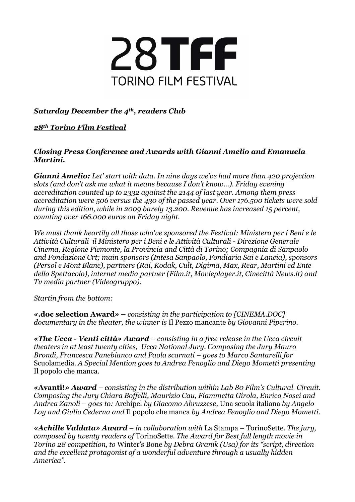

## *Saturday December the 4th, readers Club*

## *28th Torino Film Festival*

## *Closing Press Conference and Awards with Gianni Amelio and Emanuela Martini.*

*Gianni Amelio: Let' start with data. In nine days we've had more than 420 projection slots (and don't ask me what it means because I don't know...). Friday evening accreditation counted up to 2332 against the 2144 of last year. Among them press accreditation were 506 versus the 430 of the passed year. Over 176.500 tickets were sold during this edition, while in 2009 barely 13.200. Revenue has increased 15 percent, counting over 166.000 euros on Friday night.*

*We must thank heartily all those who've sponsored the Festival: Ministero per i Beni e le Attività Culturali il Ministero per i Beni e le Attività Culturali - Direzione Generale Cinema, Regione Piemonte, la Provincia and Città di Torino; Compagnia di Sanpaolo and Fondazione Crt; main sponsors (Intesa Sanpaolo, Fondiaria Sai e Lancia), sponsors (Persol e Mont Blanc), partners (Rai, Kodak, Cult, Digima, Max, Rear, Martini ed Ente dello Spettacolo), internet media partner (Film.it, Movieplayer.it, Cinecittà News.it) and Tv media partner (Videogruppo).* 

*Startin from the bottom:*

*«***.doc selection Award***»* **–** *consisting in the participation to [CINEMA.DOC] documentary in the theater, the winner is* Il Pezzo mancante *by Giovanni Piperino.*

*«The Ucca - Venti città» Award – consisting in a free release in the Ucca circuit theaters in at least twenty cities, Ucca National Jury. Composing the Jury Mauro Brondi, Francesca Panebianco and Paola scarnati – goes to Marco Santarelli for* Scuolamedia*. A Special Mention goes to Andrea Fenoglio and Diego Mometti presenting*  Il popolo che manca.

*«***Avanti!***» Award – consisting in the distribution within Lab 80 Film's Cultural Circuit. Composing the Jury Chiara Boffelli, Maurizio Cau, Fiammetta Girola, Enrico Nosei and Andrea Zanoli – goes to:* Archipel *by Giacomo Abruzzese,* Una scuola italiana *by Angelo Loy and Giulio Cederna and* Il popolo che manca *by Andrea Fenoglio and Diego Mometti.*

*«Achille Valdata» Award – in collaboration with* La Stampa – TorinoSette*. The jury, composed by twenty readers of* TorinoSette. *The Award for Best full length movie in Torino 28 competition, to* Winter's Bone *by Debra Granik (Usa) for its "script, direction and the excellent protagonist of a wonderful adventure through a usually hidden America".*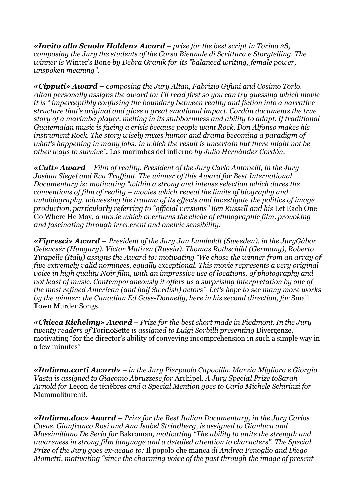*«Invito alla Scuola Holden» Award – prize for the best script in Torino 28, composing the Jury the students of the Corso Biennale di Scrittura e Storytelling. The winner is* Winter's Bone *by Debra Granik for its "balanced writing, female power, unspoken meaning".*

*«Cipputi» Award – composing the Jury Altan, Fabrizio Gifuni and Cosimo Torlo. Altan personally assigns the award to: I'll read first so you can try guessing which movie it is " imperceptibly confusing the boundary between reality and fiction into a narrative structure that's original and gives a great emotional impact. Cordòn documents the true story of a marimba player, melting in its stubbornness and ability to adapt. If traditional Guatemalan music is facing a crisis because people want Rock, Don Alfonso makes his instrument Rock. The story wisely mixes humor and drama becoming a paradigm of what's happening in many jobs: in which the result is uncertain but there might not be other ways to survive".* Las marimbas del infierno *by Julio Hernández Cordón.*

*«Cult» Award – Film of reality. President of the Jury Carlo Antonelli, in the Jury Joshua Siegel and Eva Truffaut. The winner of this Award for Best International Documentary is: motivating "within a strong and intense selection which dares the conventions of film of reality – movies which reveal the limits of biography and autobiography, witnessing the trauma of its effects and investigate the politics of image production, particularly referring to "official versions" Ben Russell and his* Let Each One Go Where He May*, a movie which overturns the cliche of ethnographic film, provoking and fascinating through irreverent and oneiric sensibility.*

*«Fipresci» Award – President of the Jury Jan Lumholdt (Sweeden), in the JuryGábor Gelencsér (Hungary), Victor Matizen (Russia), Thomas Rothschild (Germany), Roberto Tirapelle (Italy) assigns the Award to: motivating "We chose the winner from an array of five extremely valid nominees, equally exceptional. This movie represents a very original voice in high quality Noir film, with an impressive use of locations, of photography and not least of music. Contemporaneously it offers us a surprising interpretation by one of the most refined American (and half Swedish) actors" Let's hope to see many more works by the winner: the Canadian Ed Gass-Donnelly, here in his second direction, for* Small Town Murder Songs.

*«Chicca Richelmy» Award – Prize for the best short made in Piedmont. In the Jury twenty readers of* TorinoSette *is assigned to Luigi Sorbilli presenting* Divergenze, motivating "for the director's ability of conveying incomprehension in such a simple way in a few minutes"

*«Italiana.corti Award» – in the Jury Pierpaolo Capovilla, Marzia Migliora e Giorgio Vasta is assigned to Giacomo Abruzzese for* Archipel. *A Jury Special Prize toSarah Arnold for* Leçon de ténèbres *and a Special Mention goes to Carlo Michele Schirinzi for*  Mammaliturchi!.

*«Italiana.doc» Award – Prize for the Best Italian Documentary, in the Jury Carlos Casas, Gianfranco Rosi and Ana Isabel Strindberg, is assigned to Gianluca and Massimiliano De Serio for* Bakroman*, motivating "The ability to unite the strength and awareness in strong film language and a detailed attention to characters". The Special Prize of the Jury goes ex-aequo to:* Il popolo che manca *di Andrea Fenoglio and Diego Mometti, motivating "since the charming voice of the past through the image of present*